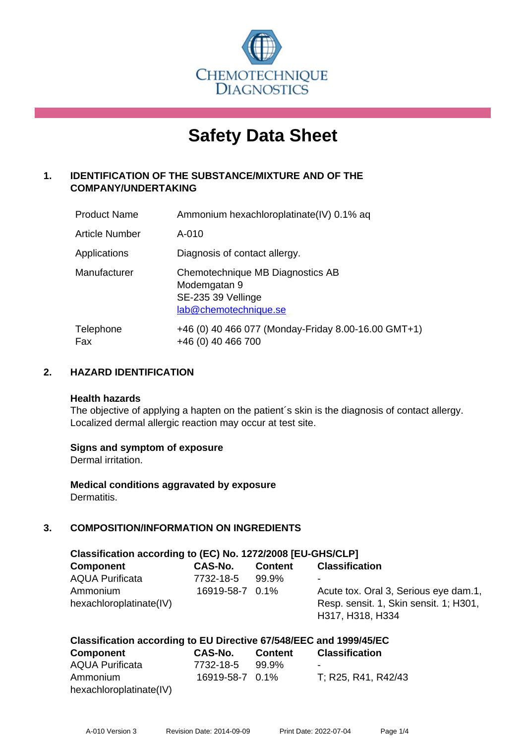

# **Safety Data Sheet**

# **1. IDENTIFICATION OF THE SUBSTANCE/MIXTURE AND OF THE COMPANY/UNDERTAKING**

| <b>Product Name</b>   | Ammonium hexachloroplatinate(IV) 0.1% aq                                                        |
|-----------------------|-------------------------------------------------------------------------------------------------|
| <b>Article Number</b> | A-010                                                                                           |
| Applications          | Diagnosis of contact allergy.                                                                   |
| Manufacturer          | Chemotechnique MB Diagnostics AB<br>Modemgatan 9<br>SE-235 39 Vellinge<br>lab@chemotechnique.se |
| Telephone<br>Fax      | +46 (0) 40 466 077 (Monday-Friday 8.00-16.00 GMT+1)<br>+46 (0) 40 466 700                       |

# **2. HAZARD IDENTIFICATION**

#### **Health hazards**

The objective of applying a hapten on the patient's skin is the diagnosis of contact allergy. Localized dermal allergic reaction may occur at test site.

## **Signs and symptom of exposure**

Dermal irritation.

**Medical conditions aggravated by exposure** Dermatitis.

# **3. COMPOSITION/INFORMATION ON INGREDIENTS**

| Classification according to (EC) No. 1272/2008 [EU-GHS/CLP] |                 |                |                                        |  |  |
|-------------------------------------------------------------|-----------------|----------------|----------------------------------------|--|--|
| <b>Component</b>                                            | CAS-No.         | <b>Content</b> | <b>Classification</b>                  |  |  |
| <b>AQUA Purificata</b>                                      | 7732-18-5       | 99.9%          | ۰                                      |  |  |
| Ammonium                                                    | 16919-58-7 0.1% |                | Acute tox. Oral 3, Serious eye dam.1,  |  |  |
| hexachloroplatinate(IV)                                     |                 |                | Resp. sensit. 1, Skin sensit. 1; H301, |  |  |
|                                                             |                 |                | H317, H318, H334                       |  |  |

# **Classification according to EU Directive 67/548/EEC and 1999/45/EC**

| <b>Component</b>        | CAS-No.         | <b>Content</b> | <b>Classification</b> |
|-------------------------|-----------------|----------------|-----------------------|
| <b>AQUA Purificata</b>  | 7732-18-5       | 99.9%          | $\blacksquare$        |
| Ammonium                | 16919-58-7 0.1% |                | T: R25, R41, R42/43   |
| hexachloroplatinate(IV) |                 |                |                       |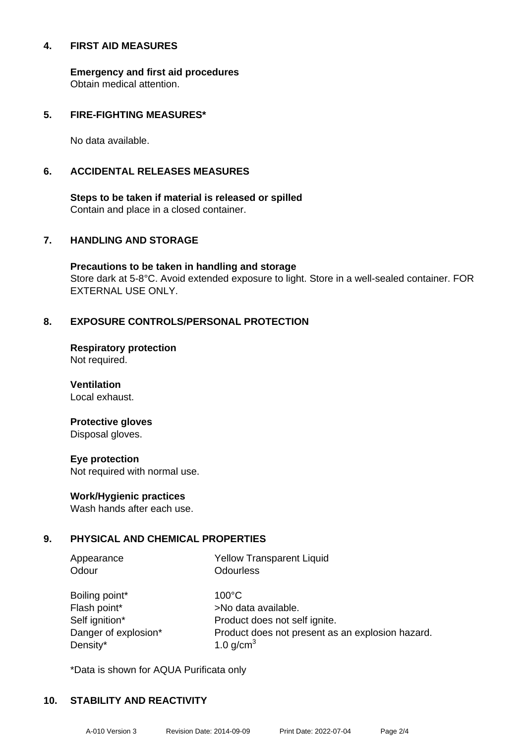#### **4. FIRST AID MEASURES**

**Emergency and first aid procedures** Obtain medical attention.

# **5. FIRE-FIGHTING MEASURES\***

No data available.

## **6. ACCIDENTAL RELEASES MEASURES**

**Steps to be taken if material is released or spilled** Contain and place in a closed container.

## **7. HANDLING AND STORAGE**

**Precautions to be taken in handling and storage** Store dark at 5-8°C. Avoid extended exposure to light. Store in a well-sealed container. FOR EXTERNAL USE ONLY.

# **8. EXPOSURE CONTROLS/PERSONAL PROTECTION**

**Respiratory protection** Not required.

**Ventilation** Local exhaust.

# **Protective gloves**

Disposal gloves.

#### **Eye protection**

Not required with normal use.

## **Work/Hygienic practices**

Wash hands after each use.

## **9. PHYSICAL AND CHEMICAL PROPERTIES**

| Appearance           | <b>Yellow Transparent Liquid</b>                 |
|----------------------|--------------------------------------------------|
| Odour                | <b>Odourless</b>                                 |
| Boiling point*       | $100^{\circ}$ C                                  |
| Flash point*         | >No data available.                              |
| Self ignition*       | Product does not self ignite.                    |
| Danger of explosion* | Product does not present as an explosion hazard. |
| Density*             | 1.0 $g/cm3$                                      |

\*Data is shown for AQUA Purificata only

## **10. STABILITY AND REACTIVITY**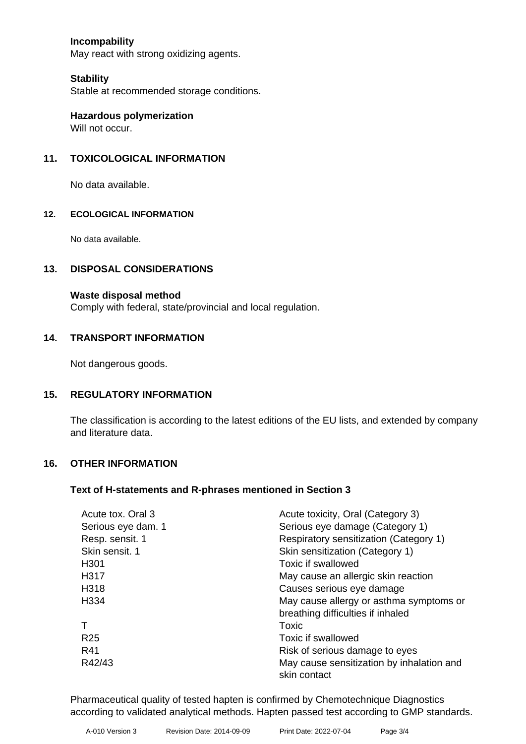# **Incompability**

May react with strong oxidizing agents.

#### **Stability**

Stable at recommended storage conditions.

**Hazardous polymerization** Will not occur.

## **11. TOXICOLOGICAL INFORMATION**

No data available.

#### **12. ECOLOGICAL INFORMATION**

No data available.

#### **13. DISPOSAL CONSIDERATIONS**

#### **Waste disposal method**

Comply with federal, state/provincial and local regulation.

#### **14. TRANSPORT INFORMATION**

Not dangerous goods.

#### **15. REGULATORY INFORMATION**

The classification is according to the latest editions of the EU lists, and extended by company and literature data.

#### **16. OTHER INFORMATION**

#### **Text of H-statements and R-phrases mentioned in Section 3**

| Acute tox. Oral 3  | Acute toxicity, Oral (Category 3)         |
|--------------------|-------------------------------------------|
| Serious eye dam. 1 | Serious eye damage (Category 1)           |
| Resp. sensit. 1    | Respiratory sensitization (Category 1)    |
| Skin sensit. 1     | Skin sensitization (Category 1)           |
| H <sub>301</sub>   | Toxic if swallowed                        |
| H317               | May cause an allergic skin reaction       |
| H318               | Causes serious eye damage                 |
| H334               | May cause allergy or asthma symptoms or   |
|                    | breathing difficulties if inhaled         |
|                    | Toxic                                     |
| R <sub>25</sub>    | Toxic if swallowed                        |
| R41                | Risk of serious damage to eyes            |
| R42/43             | May cause sensitization by inhalation and |
|                    | skin contact                              |

Pharmaceutical quality of tested hapten is confirmed by Chemotechnique Diagnostics according to validated analytical methods. Hapten passed test according to GMP standards.